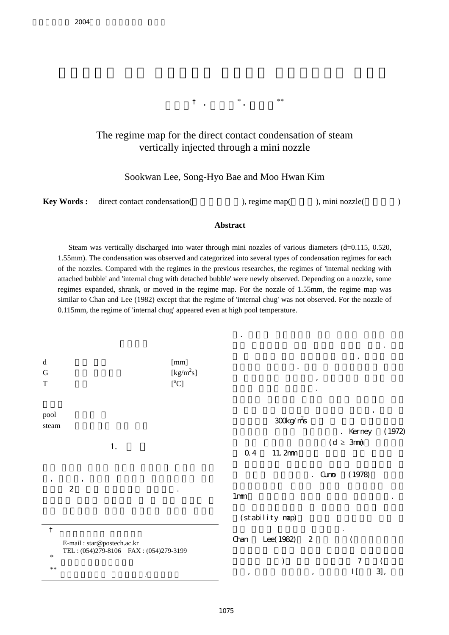이수관† **·** 배성효\* **·** 김무환\*\*

## The regime map for the direct contact condensation of steam vertically injected through a mini nozzle

## Sookwan Lee, Song-Hyo Bae and Moo Hwan Kim

|  | <b>Key Words:</b> direct contact condensation( | $)$ , regime map $($ | ), mini nozzle( |  |
|--|------------------------------------------------|----------------------|-----------------|--|
|--|------------------------------------------------|----------------------|-----------------|--|

## **Abstract**

Steam was vertically discharged into water through mini nozzles of various diameters (d=0.115, 0.520, 1.55mm). The condensation was observed and categorized into several types of condensation regimes for each of the nozzles. Compared with the regimes in the previous researches, the regimes of 'internal necking with attached bubble' and 'internal chug with detached bubble' were newly observed. Depending on a nozzle, some regimes expanded, shrank, or moved in the regime map. For the nozzle of 1.55mm, the regime map was similar to Chan and Lee (1982) except that the regime of 'internal chug' was not observed. For the nozzle of 0.115mm, the regime of 'internal chug' appeared even at high pool temperature.

> 다. 이러한 응축과정에 대한 열전달 계수는 난류 액막 응축과정에 대한 값보다 상당히 크다. 그리

| $\rm d$<br>$\mathbf G$<br>$\mathbf T$ |                                                                     | [mm]<br>[kg/m <sup>2</sup> s]<br>[°C] |                     |                 | $^\mathrm{^\mathrm{o}}$      | ,             |                  |
|---------------------------------------|---------------------------------------------------------------------|---------------------------------------|---------------------|-----------------|------------------------------|---------------|------------------|
| pool<br>steam                         |                                                                     |                                       |                     | 300 kg/ms       |                              | . Kerney      | $\, ,$<br>(1972) |
|                                       | 1.                                                                  |                                       | 0.4                 | 11.2mm          |                              | $(d \geq 3m)$ |                  |
| $\,$                                  | $\,$                                                                |                                       |                     |                 | Cuno<br>$\ddot{\phantom{0}}$ | (1978)        |                  |
|                                       | $\boldsymbol{2}$                                                    | $\cdot$                               | 1 <sub>mm</sub>     |                 |                              |               |                  |
|                                       |                                                                     |                                       |                     | (stability nap) |                              |               |                  |
| $\dagger$                             | E-mail: star@postech.ac.kr<br>TEL: (054)279-8106 FAX: (054)279-3199 |                                       | Chan                | Lee(1982)       | $\boldsymbol{2}$             |               |                  |
| $\ast$                                |                                                                     |                                       |                     | $\mathcal{)}$   |                              | $\tau$        |                  |
| $***$                                 | $\sqrt{2}$                                                          |                                       | $^\mathrm{\bullet}$ |                 | $^\mathrm{^\mathrm{o}}$      | $\prod$       | 3],              |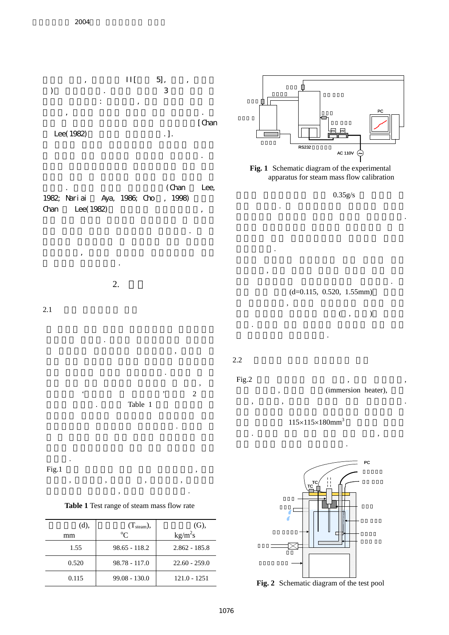









질량유속에서 질량유량이 측정되었다. 그리고



| <b>Table 1</b> Test range of steam mass flow rate |  |  |  |  |
|---------------------------------------------------|--|--|--|--|

| (d),  | $(T_{\text{steam}}),$ | (G),            |
|-------|-----------------------|-----------------|
| mm    | $^{\circ}C$           | $kg/m^2s$       |
| 1.55  | $98.65 - 118.2$       | $2.862 - 185.8$ |
| 0.520 | $98.78 - 117.0$       | $22.60 - 259.0$ |
| 0.115 | $99.08 - 130.0$       | $121.0 - 1251$  |





들어 내었다. 스팀발생기에 증류수를 채우고 진공펌프로 증류수에 용해된 기체를 제거하였다.

 $0.35g/s$ 

하고 전자저울의 최대측정용량에 맞추었다.  $(d=0.115, 0.520, 1.55mm)$  $\lambda$  $( , )$ 였다. 그리고 가는 열전대를 삽입하여 노즐 내부

스팀온도를 측정하였다.

조의 모서리 영향을 방지하였다.

 $\overline{\phantom{a}}$ 

 $2.2$ 

조절하였다.

 $Fig.2$  ,  $\qquad \qquad$ ,  $\qquad \qquad$ ,

(immersion heater), 센서, 열전대, 노즐로 테스트 풀을 구성하였다.



 $\mathcal{L}$  , which are given the set of  $\mathcal{L}$ 



**Fig. 2** Schematic diagram of the test pool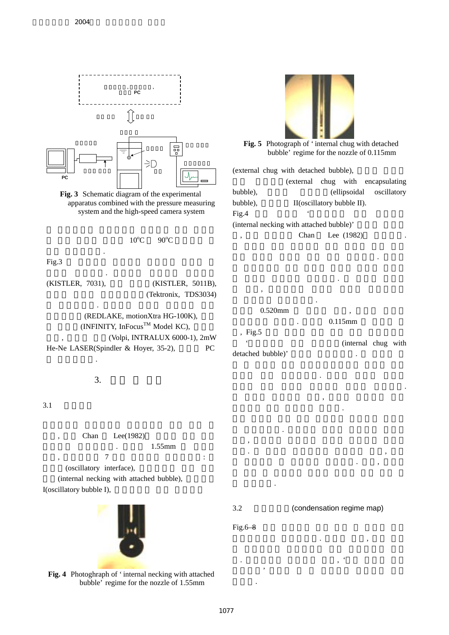

(internal necking with attached bubble), I(oscillatory bubble I),



**Fig. 4** Photoghraph of 'internal necking with attached bubble' regime for the nozzle of 1.55mm

나아갔다.

 $Fig.6-8$ 

하였다.

3.2 (condensation regime map)

응축영역도를 작성하였다. 노즐에 따라, 어떤 영역

.  $\mathcal{L}_{\mathcal{A}}$  $\overline{\phantom{a}}$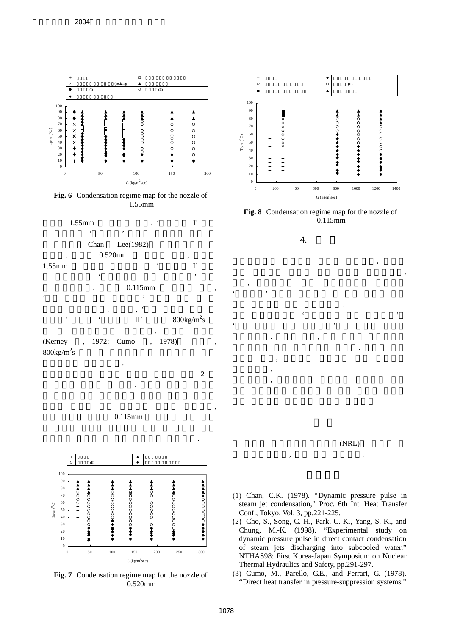

**Fig. 6** Condensation regime map for the nozzle of 1.55mm



(Kerney , 1972; Cumo , 1978)  $800\text{kg/m}^2\text{s}$  $S$ 





**Fig. 7** Condensation regime map for the nozzle of 0.520mm



**Fig. 8** Condensation regime map for the nozzle of 0.115mm

 $\overline{\phantom{a}}$ 역의 직접접촉 응축에 대한 연구를 수행하였다.  $\overline{\phantom{a}}$ ' Secondary '  $\mathcal{S}$ 

 $\ddot{\textbf{r}}$ '분리 기포가 있는 내부쳐그'라는 새로운 영역이 관찰되었다. 노즐에 따라, 어떤 영역은 확대하거나 축소하거나 혹은 이동하기도 하였다. 그리고 모든  $\overline{\phantom{a}}$ 

 $\mathcal{P}_{\mathcal{P}}$ 

량을 측정하는 유량계의 개발이 요구된다.

 $\,$ ,  $\,$ ,  $\,$ ,  $\,$ ,  $\,$ ,  $\,$ ,  $\,$ ,  $\,$ ,  $\,$ ,  $\,$ ,  $\,$ ,  $\,$ ,  $\,$ ,  $\,$ ,  $\,$ ,  $\,$ ,  $\,$ ,  $\,$ ,  $\,$ ,  $\,$ ,  $\,$ ,  $\,$ ,  $\,$ ,  $\,$ ,  $\,$ ,  $\,$ ,  $\,$ ,  $\,$ ,  $\,$ ,  $\,$ ,  $\,$ ,  $\,$ ,  $\,$ ,  $\,$ ,  $\,$ ,  $\,$ ,  $\,$ ,

4.

파동 데이터가 매우 유용하였다.

관찰되었다.



- (1) Chan, C.K. (1978). "Dynamic pressure pulse in steam jet condensation," Proc. 6th Int. Heat Transfer Conf., Tokyo, Vol. 3, pp.221-225.
- (2) Cho, S., Song, C.-H., Park, C.-K., Yang, S.-K., and Chung, M.-K. (1998). "Experimental study on dynamic pressure pulse in direct contact condensation of steam jets discharging into subcooled water," NTHAS98: First Korea-Japan Symposium on Nuclear Thermal Hydraulics and Safety, pp.291-297.
- (3) Cumo, M., Parello, G.E., and Ferrari, G. (1978). "Direct heat transfer in pressure-suppression systems,"